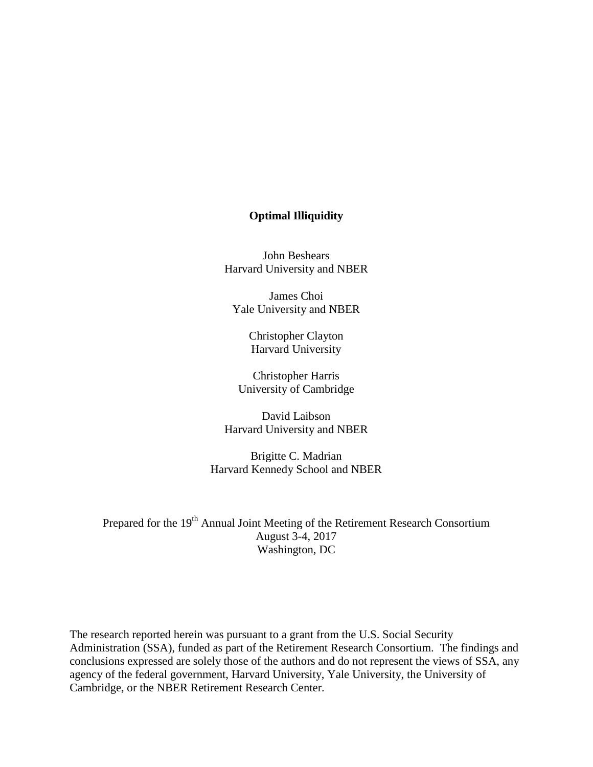## **Optimal Illiquidity**

John Beshears Harvard University and NBER

James Choi Yale University and NBER

> Christopher Clayton Harvard University

Christopher Harris University of Cambridge

David Laibson Harvard University and NBER

Brigitte C. Madrian Harvard Kennedy School and NBER

Prepared for the 19<sup>th</sup> Annual Joint Meeting of the Retirement Research Consortium August 3-4, 2017 Washington, DC

The research reported herein was pursuant to a grant from the U.S. Social Security Administration (SSA), funded as part of the Retirement Research Consortium. The findings and conclusions expressed are solely those of the authors and do not represent the views of SSA, any agency of the federal government, Harvard University, Yale University, the University of Cambridge, or the NBER Retirement Research Center.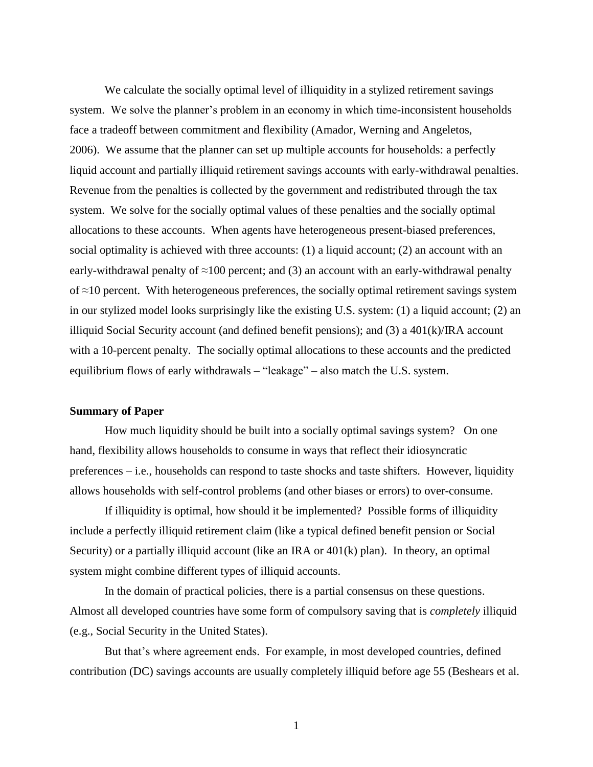We calculate the socially optimal level of illiquidity in a stylized retirement savings system. We solve the planner's problem in an economy in which time-inconsistent households face a tradeoff between commitment and flexibility (Amador, Werning and Angeletos, 2006). We assume that the planner can set up multiple accounts for households: a perfectly liquid account and partially illiquid retirement savings accounts with early-withdrawal penalties. Revenue from the penalties is collected by the government and redistributed through the tax system. We solve for the socially optimal values of these penalties and the socially optimal allocations to these accounts. When agents have heterogeneous present-biased preferences, social optimality is achieved with three accounts: (1) a liquid account; (2) an account with an early-withdrawal penalty of  $\approx$ 100 percent; and (3) an account with an early-withdrawal penalty of ≈10 percent. With heterogeneous preferences, the socially optimal retirement savings system in our stylized model looks surprisingly like the existing U.S. system: (1) a liquid account; (2) an illiquid Social Security account (and defined benefit pensions); and (3) a 401(k)/IRA account with a 10-percent penalty. The socially optimal allocations to these accounts and the predicted equilibrium flows of early withdrawals – "leakage" – also match the U.S. system.

## **Summary of Paper**

How much liquidity should be built into a socially optimal savings system? On one hand, flexibility allows households to consume in ways that reflect their idiosyncratic preferences – i.e., households can respond to taste shocks and taste shifters. However, liquidity allows households with self-control problems (and other biases or errors) to over-consume.

If illiquidity is optimal, how should it be implemented? Possible forms of illiquidity include a perfectly illiquid retirement claim (like a typical defined benefit pension or Social Security) or a partially illiquid account (like an IRA or 401(k) plan). In theory, an optimal system might combine different types of illiquid accounts.

In the domain of practical policies, there is a partial consensus on these questions. Almost all developed countries have some form of compulsory saving that is *completely* illiquid (e.g., Social Security in the United States).

But that's where agreement ends. For example, in most developed countries, defined contribution (DC) savings accounts are usually completely illiquid before age 55 (Beshears et al.

1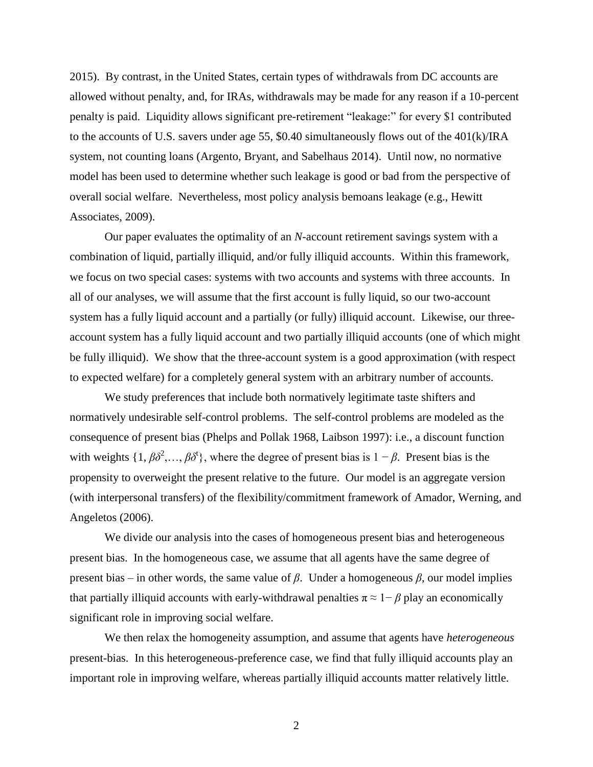2015). By contrast, in the United States, certain types of withdrawals from DC accounts are allowed without penalty, and, for IRAs, withdrawals may be made for any reason if a 10-percent penalty is paid. Liquidity allows significant pre-retirement "leakage:" for every \$1 contributed to the accounts of U.S. savers under age 55, \$0.40 simultaneously flows out of the 401(k)/IRA system, not counting loans (Argento, Bryant, and Sabelhaus 2014). Until now, no normative model has been used to determine whether such leakage is good or bad from the perspective of overall social welfare. Nevertheless, most policy analysis bemoans leakage (e.g., Hewitt Associates, 2009).

Our paper evaluates the optimality of an *N*-account retirement savings system with a combination of liquid, partially illiquid, and/or fully illiquid accounts. Within this framework, we focus on two special cases: systems with two accounts and systems with three accounts. In all of our analyses, we will assume that the first account is fully liquid, so our two-account system has a fully liquid account and a partially (or fully) illiquid account. Likewise, our threeaccount system has a fully liquid account and two partially illiquid accounts (one of which might be fully illiquid). We show that the three-account system is a good approximation (with respect to expected welfare) for a completely general system with an arbitrary number of accounts.

We study preferences that include both normatively legitimate taste shifters and normatively undesirable self-control problems. The self-control problems are modeled as the consequence of present bias (Phelps and Pollak 1968, Laibson 1997): i.e., a discount function with weights  $\{1, \beta \delta^2, \ldots, \beta \delta^t\}$ , where the degree of present bias is  $1 - \beta$ . Present bias is the propensity to overweight the present relative to the future. Our model is an aggregate version (with interpersonal transfers) of the flexibility/commitment framework of Amador, Werning, and Angeletos (2006).

We divide our analysis into the cases of homogeneous present bias and heterogeneous present bias. In the homogeneous case, we assume that all agents have the same degree of present bias – in other words, the same value of *β*. Under a homogeneous *β*, our model implies that partially illiquid accounts with early-withdrawal penalties  $\pi \approx 1 - \beta$  play an economically significant role in improving social welfare.

We then relax the homogeneity assumption, and assume that agents have *heterogeneous* present-bias. In this heterogeneous-preference case, we find that fully illiquid accounts play an important role in improving welfare, whereas partially illiquid accounts matter relatively little.

2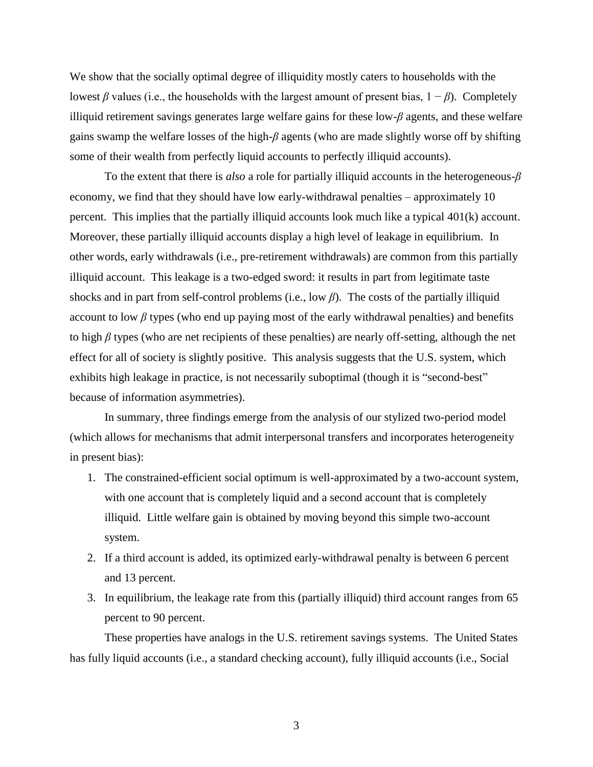We show that the socially optimal degree of illiquidity mostly caters to households with the lowest *β* values (i.e., the households with the largest amount of present bias,  $1 - β$ ). Completely illiquid retirement savings generates large welfare gains for these low-*β* agents, and these welfare gains swamp the welfare losses of the high-*β* agents (who are made slightly worse off by shifting some of their wealth from perfectly liquid accounts to perfectly illiquid accounts).

To the extent that there is *also* a role for partially illiquid accounts in the heterogeneous-*β* economy, we find that they should have low early-withdrawal penalties – approximately 10 percent. This implies that the partially illiquid accounts look much like a typical 401(k) account. Moreover, these partially illiquid accounts display a high level of leakage in equilibrium. In other words, early withdrawals (i.e., pre-retirement withdrawals) are common from this partially illiquid account. This leakage is a two-edged sword: it results in part from legitimate taste shocks and in part from self-control problems (i.e., low *β*). The costs of the partially illiquid account to low  $\beta$  types (who end up paying most of the early withdrawal penalties) and benefits to high *β* types (who are net recipients of these penalties) are nearly off-setting, although the net effect for all of society is slightly positive. This analysis suggests that the U.S. system, which exhibits high leakage in practice, is not necessarily suboptimal (though it is "second-best" because of information asymmetries).

In summary, three findings emerge from the analysis of our stylized two-period model (which allows for mechanisms that admit interpersonal transfers and incorporates heterogeneity in present bias):

- 1. The constrained-efficient social optimum is well-approximated by a two-account system, with one account that is completely liquid and a second account that is completely illiquid. Little welfare gain is obtained by moving beyond this simple two-account system.
- 2. If a third account is added, its optimized early-withdrawal penalty is between 6 percent and 13 percent.
- 3. In equilibrium, the leakage rate from this (partially illiquid) third account ranges from 65 percent to 90 percent.

These properties have analogs in the U.S. retirement savings systems. The United States has fully liquid accounts (i.e., a standard checking account), fully illiquid accounts (i.e., Social

3